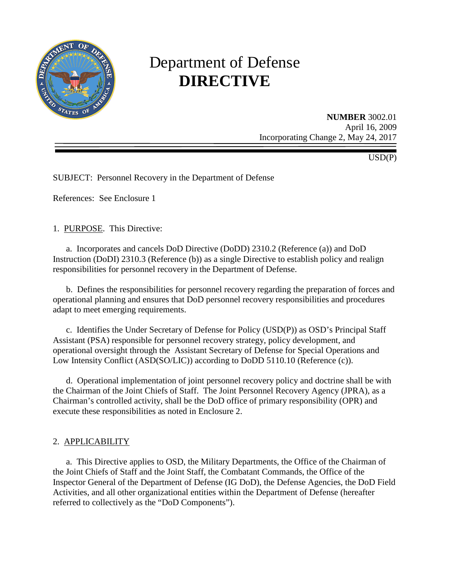

# Department of Defense **DIRECTIVE**

**NUMBER** 3002.01 April 16, 2009 Incorporating Change 2, May 24, 2017

USD(P)

SUBJECT: Personnel Recovery in the Department of Defense

References: See Enclosure 1

1. PURPOSE. This Directive:

 a. Incorporates and cancels DoD Directive (DoDD) 2310.2 (Reference (a)) and DoD Instruction (DoDI) 2310.3 (Reference (b)) as a single Directive to establish policy and realign responsibilities for personnel recovery in the Department of Defense.

 b. Defines the responsibilities for personnel recovery regarding the preparation of forces and operational planning and ensures that DoD personnel recovery responsibilities and procedures adapt to meet emerging requirements.

 c. Identifies the Under Secretary of Defense for Policy (USD(P)) as OSD's Principal Staff Assistant (PSA) responsible for personnel recovery strategy, policy development, and operational oversight through the Assistant Secretary of Defense for Special Operations and Low Intensity Conflict (ASD(SO/LIC)) according to DoDD 5110.10 (Reference (c)).

 d. Operational implementation of joint personnel recovery policy and doctrine shall be with the Chairman of the Joint Chiefs of Staff. The Joint Personnel Recovery Agency (JPRA), as a Chairman's controlled activity, shall be the DoD office of primary responsibility (OPR) and execute these responsibilities as noted in Enclosure 2.

#### 2. APPLICABILITY

a. This Directive applies to OSD, the Military Departments, the Office of the Chairman of the Joint Chiefs of Staff and the Joint Staff, the Combatant Commands, the Office of the Inspector General of the Department of Defense (IG DoD), the Defense Agencies, the DoD Field Activities, and all other organizational entities within the Department of Defense (hereafter referred to collectively as the "DoD Components").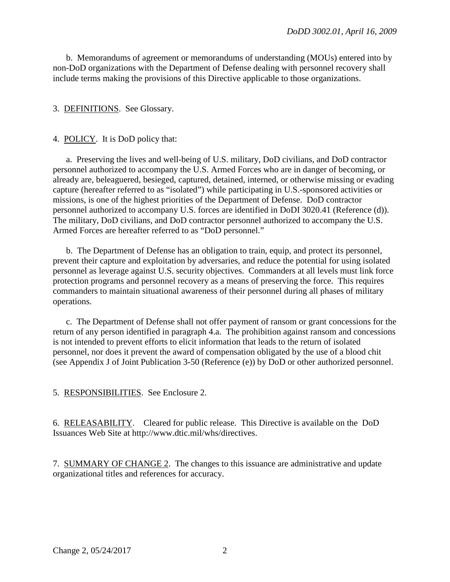b. Memorandums of agreement or memorandums of understanding (MOUs) entered into by non-DoD organizations with the Department of Defense dealing with personnel recovery shall include terms making the provisions of this Directive applicable to those organizations.

3. DEFINITIONS. See Glossary.

#### 4. POLICY. It is DoD policy that:

a. Preserving the lives and well-being of U.S. military, DoD civilians, and DoD contractor personnel authorized to accompany the U.S. Armed Forces who are in danger of becoming, or already are, beleaguered, besieged, captured, detained, interned, or otherwise missing or evading capture (hereafter referred to as "isolated") while participating in U.S.-sponsored activities or missions, is one of the highest priorities of the Department of Defense. DoD contractor personnel authorized to accompany U.S. forces are identified in DoDI 3020.41 (Reference (d)). The military, DoD civilians, and DoD contractor personnel authorized to accompany the U.S. Armed Forces are hereafter referred to as "DoD personnel."

b. The Department of Defense has an obligation to train, equip, and protect its personnel, prevent their capture and exploitation by adversaries, and reduce the potential for using isolated personnel as leverage against U.S. security objectives. Commanders at all levels must link force protection programs and personnel recovery as a means of preserving the force. This requires commanders to maintain situational awareness of their personnel during all phases of military operations.

 c. The Department of Defense shall not offer payment of ransom or grant concessions for the return of any person identified in paragraph 4.a. The prohibition against ransom and concessions is not intended to prevent efforts to elicit information that leads to the return of isolated personnel, nor does it prevent the award of compensation obligated by the use of a blood chit (see Appendix J of Joint Publication 3-50 (Reference (e)) by DoD or other authorized personnel.

5. RESPONSIBILITIES. See Enclosure 2.

6. RELEASABILITY. Cleared for public release. This Directive is available on the DoD Issuances Web Site at http://www.dtic.mil/whs/directives.

7. SUMMARY OF CHANGE 2. The changes to this issuance are administrative and update organizational titles and references for accuracy.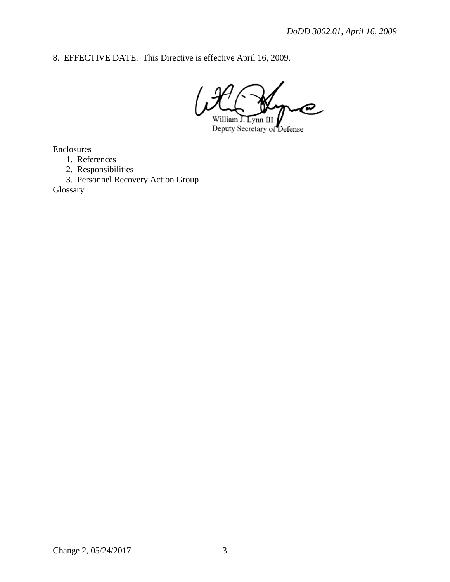8. EFFECTIVE DATE. This Directive is effective April 16, 2009.

William J. Lynn III ٦

Deputy Secretary of Defense

Enclosures

- 1. [References](#page-3-0)
- 2. Responsibilities
- 3. Personnel Recovery Action Group

Glossary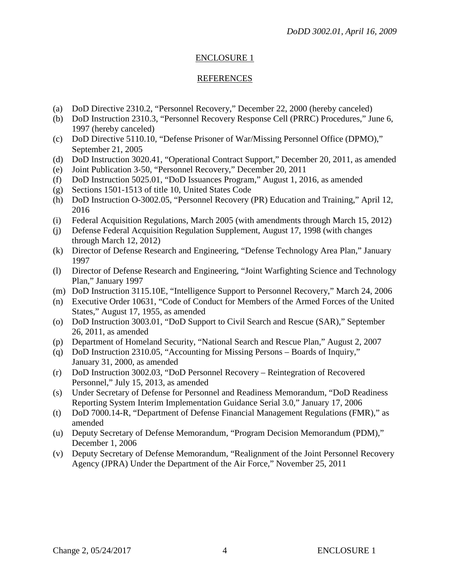# ENCLOSURE 1

## REFERENCES

- <span id="page-3-0"></span>(a) DoD Directive 2310.2, "Personnel Recovery," December 22, 2000 (hereby canceled)
- (b) DoD Instruction 2310.3, "Personnel Recovery Response Cell (PRRC) Procedures," June 6, 1997 (hereby canceled)
- (c) DoD Directive 5110.10, "Defense Prisoner of War/Missing Personnel Office (DPMO)," September 21, 2005
- (d) DoD Instruction 3020.41, "Operational Contract Support," December 20, 2011, as amended
- (e) Joint Publication 3-50, "Personnel Recovery," December 20, 2011
- (f) DoD Instruction 5025.01, "DoD Issuances Program," August 1, 2016, as amended
- (g) Sections 1501-1513 of title 10, United States Code
- (h) DoD Instruction O-3002.05, "Personnel Recovery (PR) Education and Training," April 12, 2016
- (i) Federal Acquisition Regulations, March 2005 (with amendments through March 15, 2012)
- (j) Defense Federal Acquisition Regulation Supplement, August 17, 1998 (with changes through March 12, 2012)
- (k) Director of Defense Research and Engineering, "Defense Technology Area Plan," January 1997
- (l) Director of Defense Research and Engineering, "Joint Warfighting Science and Technology Plan," January 1997
- (m) DoD Instruction 3115.10E, "Intelligence Support to Personnel Recovery," March 24, 2006
- (n) Executive Order 10631, "Code of Conduct for Members of the Armed Forces of the United States," August 17, 1955, as amended
- (o) DoD Instruction 3003.01, "DoD Support to Civil Search and Rescue (SAR)," September 26, 2011, as amended
- (p) Department of Homeland Security, "National Search and Rescue Plan," August 2, 2007
- (q) DoD Instruction 2310.05, "Accounting for Missing Persons Boards of Inquiry," January 31, 2000, as amended
- (r) DoD Instruction 3002.03, "DoD Personnel Recovery Reintegration of Recovered Personnel," July 15, 2013, as amended
- (s) Under Secretary of Defense for Personnel and Readiness Memorandum, "DoD Readiness Reporting System Interim Implementation Guidance Serial 3.0," January 17, 2006
- (t) DoD 7000.14-R, "Department of Defense Financial Management Regulations (FMR)," as amended
- (u) Deputy Secretary of Defense Memorandum, "Program Decision Memorandum (PDM)," December 1, 2006
- (v) Deputy Secretary of Defense Memorandum, "Realignment of the Joint Personnel Recovery Agency (JPRA) Under the Department of the Air Force," November 25, 2011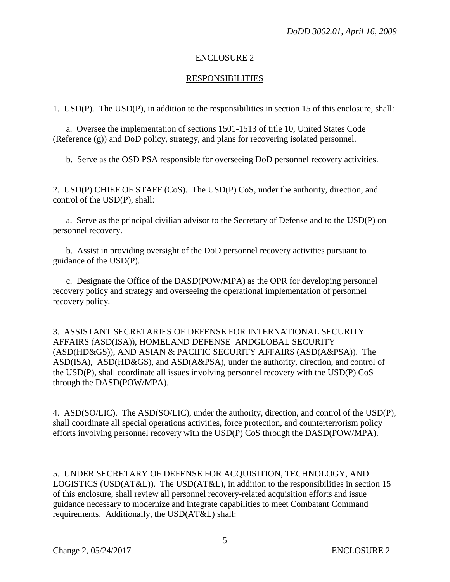## ENCLOSURE 2

## **RESPONSIBILITIES**

1. USD(P). The USD(P), in addition to the responsibilities in section 15 of this enclosure, shall:

a. Oversee the implementation of sections 1501-1513 of title 10, United States Code (Reference (g)) and DoD policy, strategy, and plans for recovering isolated personnel.

b. Serve as the OSD PSA responsible for overseeing DoD personnel recovery activities.

2. USD(P) CHIEF OF STAFF (CoS). The USD(P) CoS, under the authority, direction, and control of the USD(P), shall:

a. Serve as the principal civilian advisor to the Secretary of Defense and to the USD(P) on personnel recovery.

b. Assist in providing oversight of the DoD personnel recovery activities pursuant to guidance of the USD(P).

c. Designate the Office of the DASD(POW/MPA) as the OPR for developing personnel recovery policy and strategy and overseeing the operational implementation of personnel recovery policy.

## 3. ASSISTANT SECRETARIES OF DEFENSE FOR INTERNATIONAL SECURITY AFFAIRS (ASD(ISA)), HOMELAND DEFENSE ANDGLOBAL SECURITY (ASD(HD&GS)), AND ASIAN & PACIFIC SECURITY AFFAIRS (ASD(A&PSA)). The ASD(ISA), ASD(HD&GS), and ASD(A&PSA), under the authority, direction, and control of the USD(P), shall coordinate all issues involving personnel recovery with the USD(P) CoS through the DASD(POW/MPA).

4. ASD(SO/LIC). The ASD(SO/LIC), under the authority, direction, and control of the USD(P), shall coordinate all special operations activities, force protection, and counterterrorism policy efforts involving personnel recovery with the USD(P) CoS through the DASD(POW/MPA).

# 5. UNDER SECRETARY OF DEFENSE FOR ACQUISITION, TECHNOLOGY, AND

LOGISTICS (USD(AT&L)). The USD(AT&L), in addition to the responsibilities in section 15 of this enclosure, shall review all personnel recovery-related acquisition efforts and issue guidance necessary to modernize and integrate capabilities to meet Combatant Command requirements. Additionally, the USD(AT&L) shall: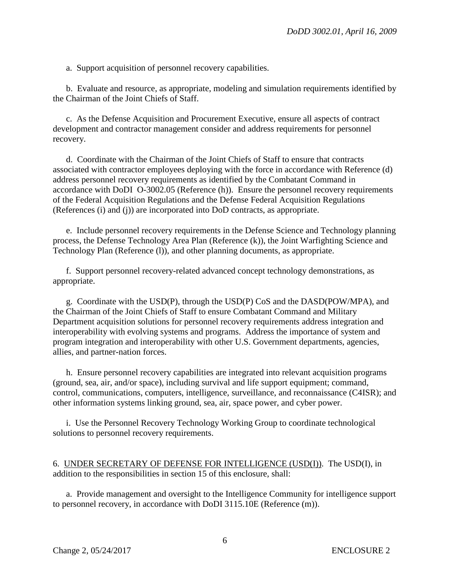a. Support acquisition of personnel recovery capabilities.

 b. Evaluate and resource, as appropriate, modeling and simulation requirements identified by the Chairman of the Joint Chiefs of Staff.

 c. As the Defense Acquisition and Procurement Executive, ensure all aspects of contract development and contractor management consider and address requirements for personnel recovery.

 d. Coordinate with the Chairman of the Joint Chiefs of Staff to ensure that contracts associated with contractor employees deploying with the force in accordance with Reference (d) address personnel recovery requirements as identified by the Combatant Command in accordance with DoDI O-3002.05 (Reference (h)). Ensure the personnel recovery requirements of the Federal Acquisition Regulations and the Defense Federal Acquisition Regulations (References (i) and (j)) are incorporated into DoD contracts, as appropriate.

 e. Include personnel recovery requirements in the Defense Science and Technology planning process, the Defense Technology Area Plan (Reference (k)), the Joint Warfighting Science and Technology Plan (Reference (l)), and other planning documents, as appropriate.

 f. Support personnel recovery-related advanced concept technology demonstrations, as appropriate.

 g. Coordinate with the USD(P), through the USD(P) CoS and the DASD(POW/MPA), and the Chairman of the Joint Chiefs of Staff to ensure Combatant Command and Military Department acquisition solutions for personnel recovery requirements address integration and interoperability with evolving systems and programs. Address the importance of system and program integration and interoperability with other U.S. Government departments, agencies, allies, and partner-nation forces.

 h. Ensure personnel recovery capabilities are integrated into relevant acquisition programs (ground, sea, air, and/or space), including survival and life support equipment; command, control, communications, computers, intelligence, surveillance, and reconnaissance (C4ISR); and other information systems linking ground, sea, air, space power, and cyber power.

 i. Use the Personnel Recovery Technology Working Group to coordinate technological solutions to personnel recovery requirements.

6. UNDER SECRETARY OF DEFENSE FOR INTELLIGENCE (USD(I)). The USD(I), in addition to the responsibilities in section 15 of this enclosure, shall:

 a. Provide management and oversight to the Intelligence Community for intelligence support to personnel recovery, in accordance with DoDI 3115.10E (Reference (m)).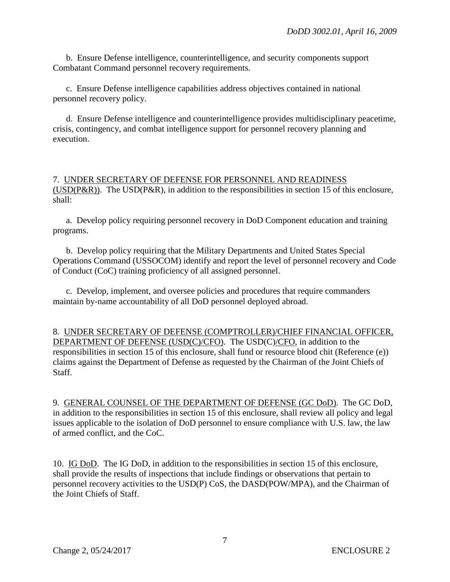b. Ensure Defense intelligence, counterintelligence, and security components support Combatant Command personnel recovery requirements.

 c. Ensure Defense intelligence capabilities address objectives contained in national personnel recovery policy.

 d. Ensure Defense intelligence and counterintelligence provides multidisciplinary peacetime, crisis, contingency, and combat intelligence support for personnel recovery planning and execution.

## 7. UNDER SECRETARY OF DEFENSE FOR PERSONNEL AND READINESS (USD(P&R)). The USD(P&R), in addition to the responsibilities in section 15 of this enclosure, shall:

a. Develop policy requiring personnel recovery in DoD Component education and training programs.

 b. Develop policy requiring that the Military Departments and United States Special Operations Command (USSOCOM) identify and report the level of personnel recovery and Code of Conduct (CoC) training proficiency of all assigned personnel.

 c. Develop, implement, and oversee policies and procedures that require commanders maintain by-name accountability of all DoD personnel deployed abroad.

8. UNDER SECRETARY OF DEFENSE (COMPTROLLER)/CHIEF FINANCIAL OFFICER, DEPARTMENT OF DEFENSE (USD(C)/CFO). The USD(C)/CFO, in addition to the responsibilities in section 15 of this enclosure, shall fund or resource blood chit (Reference (e)) claims against the Department of Defense as requested by the Chairman of the Joint Chiefs of Staff.

9. GENERAL COUNSEL OF THE DEPARTMENT OF DEFENSE (GC DoD). The GC DoD, in addition to the responsibilities in section 15 of this enclosure, shall review all policy and legal issues applicable to the isolation of DoD personnel to ensure compliance with U.S. law, the law of armed conflict, and the CoC.

10. IG DoD. The IG DoD, in addition to the responsibilities in section 15 of this enclosure, shall provide the results of inspections that include findings or observations that pertain to personnel recovery activities to the USD(P) CoS, the DASD(POW/MPA), and the Chairman of the Joint Chiefs of Staff.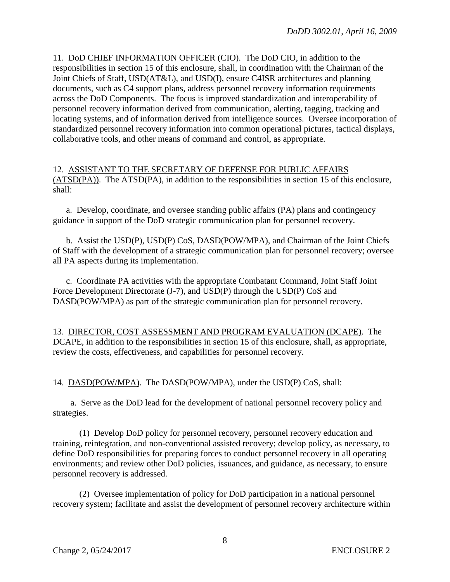11. DoD CHIEF INFORMATION OFFICER (CIO). The DoD CIO, in addition to the responsibilities in section 15 of this enclosure, shall, in coordination with the Chairman of the Joint Chiefs of Staff, USD(AT&L), and USD(I), ensure C4ISR architectures and planning documents, such as C4 support plans, address personnel recovery information requirements across the DoD Components. The focus is improved standardization and interoperability of personnel recovery information derived from communication, alerting, tagging, tracking and locating systems, and of information derived from intelligence sources. Oversee incorporation of standardized personnel recovery information into common operational pictures, tactical displays, collaborative tools, and other means of command and control, as appropriate.

12. ASSISTANT TO THE SECRETARY OF DEFENSE FOR PUBLIC AFFAIRS (ATSD(PA)). The ATSD(PA), in addition to the responsibilities in section 15 of this enclosure, shall:

 a. Develop, coordinate, and oversee standing public affairs (PA) plans and contingency guidance in support of the DoD strategic communication plan for personnel recovery.

 b. Assist the USD(P), USD(P) CoS, DASD(POW/MPA), and Chairman of the Joint Chiefs of Staff with the development of a strategic communication plan for personnel recovery; oversee all PA aspects during its implementation.

 c. Coordinate PA activities with the appropriate Combatant Command, Joint Staff Joint Force Development Directorate (J-7), and USD(P) through the USD(P) CoS and DASD(POW/MPA) as part of the strategic communication plan for personnel recovery.

13. DIRECTOR, COST ASSESSMENT AND PROGRAM EVALUATION (DCAPE). The DCAPE, in addition to the responsibilities in section 15 of this enclosure, shall, as appropriate, review the costs, effectiveness, and capabilities for personnel recovery.

14. DASD(POW/MPA). The DASD(POW/MPA), under the USD(P) CoS, shall:

 a. Serve as the DoD lead for the development of national personnel recovery policy and strategies.

 (1) Develop DoD policy for personnel recovery, personnel recovery education and training, reintegration, and non-conventional assisted recovery; develop policy, as necessary, to define DoD responsibilities for preparing forces to conduct personnel recovery in all operating environments; and review other DoD policies, issuances, and guidance, as necessary, to ensure personnel recovery is addressed.

 (2) Oversee implementation of policy for DoD participation in a national personnel recovery system; facilitate and assist the development of personnel recovery architecture within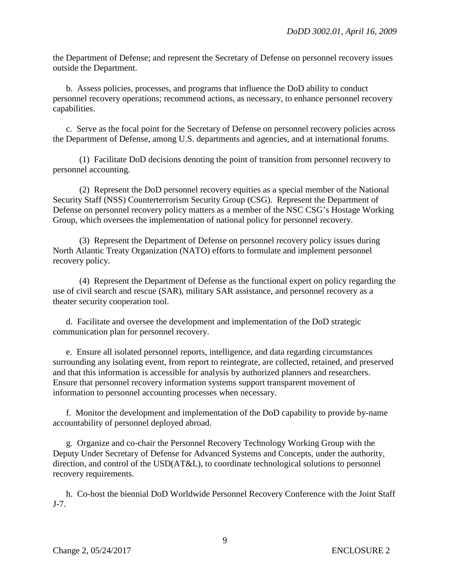the Department of Defense; and represent the Secretary of Defense on personnel recovery issues outside the Department.

 b. Assess policies, processes, and programs that influence the DoD ability to conduct personnel recovery operations; recommend actions, as necessary, to enhance personnel recovery capabilities.

c. Serve as the focal point for the Secretary of Defense on personnel recovery policies across the Department of Defense, among U.S. departments and agencies, and at international forums.

 (1) Facilitate DoD decisions denoting the point of transition from personnel recovery to personnel accounting.

 (2) Represent the DoD personnel recovery equities as a special member of the National Security Staff (NSS) Counterterrorism Security Group (CSG). Represent the Department of Defense on personnel recovery policy matters as a member of the NSC CSG's Hostage Working Group, which oversees the implementation of national policy for personnel recovery.

 (3) Represent the Department of Defense on personnel recovery policy issues during North Atlantic Treaty Organization (NATO) efforts to formulate and implement personnel recovery policy.

 (4) Represent the Department of Defense as the functional expert on policy regarding the use of civil search and rescue (SAR), military SAR assistance, and personnel recovery as a theater security cooperation tool.

 d. Facilitate and oversee the development and implementation of the DoD strategic communication plan for personnel recovery.

 e. Ensure all isolated personnel reports, intelligence, and data regarding circumstances surrounding any isolating event, from report to reintegrate, are collected, retained, and preserved and that this information is accessible for analysis by authorized planners and researchers. Ensure that personnel recovery information systems support transparent movement of information to personnel accounting processes when necessary.

 f. Monitor the development and implementation of the DoD capability to provide by-name accountability of personnel deployed abroad.

 g. Organize and co-chair the Personnel Recovery Technology Working Group with the Deputy Under Secretary of Defense for Advanced Systems and Concepts, under the authority, direction, and control of the USD(AT&L), to coordinate technological solutions to personnel recovery requirements.

 h. Co-host the biennial DoD Worldwide Personnel Recovery Conference with the Joint Staff J-7.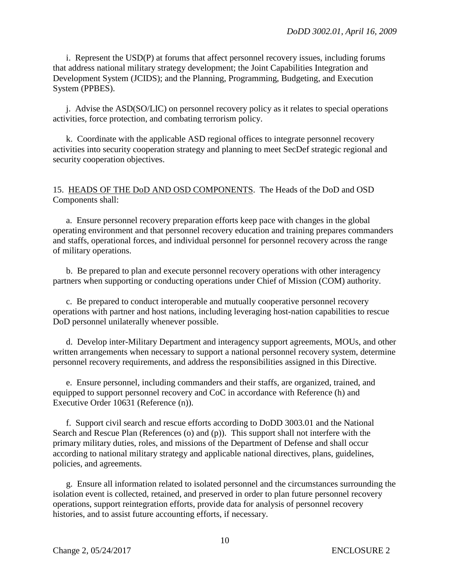i. Represent the USD(P) at forums that affect personnel recovery issues, including forums that address national military strategy development; the Joint Capabilities Integration and Development System (JCIDS); and the Planning, Programming, Budgeting, and Execution System (PPBES).

 j. Advise the ASD(SO/LIC) on personnel recovery policy as it relates to special operations activities, force protection, and combating terrorism policy.

 k. Coordinate with the applicable ASD regional offices to integrate personnel recovery activities into security cooperation strategy and planning to meet SecDef strategic regional and security cooperation objectives.

#### 15. HEADS OF THE DoD AND OSD COMPONENTS. The Heads of the DoD and OSD Components shall:

 a. Ensure personnel recovery preparation efforts keep pace with changes in the global operating environment and that personnel recovery education and training prepares commanders and staffs, operational forces, and individual personnel for personnel recovery across the range of military operations.

 b. Be prepared to plan and execute personnel recovery operations with other interagency partners when supporting or conducting operations under Chief of Mission (COM) authority.

 c. Be prepared to conduct interoperable and mutually cooperative personnel recovery operations with partner and host nations, including leveraging host-nation capabilities to rescue DoD personnel unilaterally whenever possible.

 d. Develop inter-Military Department and interagency support agreements, MOUs, and other written arrangements when necessary to support a national personnel recovery system, determine personnel recovery requirements, and address the responsibilities assigned in this Directive.

 e. Ensure personnel, including commanders and their staffs, are organized, trained, and equipped to support personnel recovery and CoC in accordance with Reference (h) and Executive Order 10631 (Reference (n)).

 f. Support civil search and rescue efforts according to DoDD 3003.01 and the National Search and Rescue Plan (References (o) and (p)). This support shall not interfere with the primary military duties, roles, and missions of the Department of Defense and shall occur according to national military strategy and applicable national directives, plans, guidelines, policies, and agreements.

 g. Ensure all information related to isolated personnel and the circumstances surrounding the isolation event is collected, retained, and preserved in order to plan future personnel recovery operations, support reintegration efforts, provide data for analysis of personnel recovery histories, and to assist future accounting efforts, if necessary.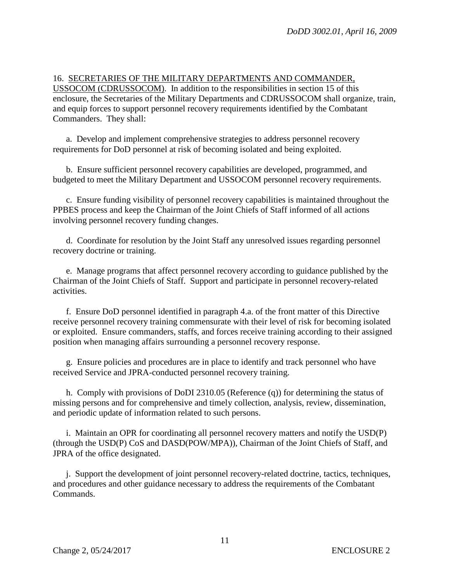#### 16. SECRETARIES OF THE MILITARY DEPARTMENTS AND COMMANDER,

USSOCOM (CDRUSSOCOM). In addition to the responsibilities in section 15 of this enclosure, the Secretaries of the Military Departments and CDRUSSOCOM shall organize, train, and equip forces to support personnel recovery requirements identified by the Combatant Commanders. They shall:

 a. Develop and implement comprehensive strategies to address personnel recovery requirements for DoD personnel at risk of becoming isolated and being exploited.

 b. Ensure sufficient personnel recovery capabilities are developed, programmed, and budgeted to meet the Military Department and USSOCOM personnel recovery requirements.

c. Ensure funding visibility of personnel recovery capabilities is maintained throughout the PPBES process and keep the Chairman of the Joint Chiefs of Staff informed of all actions involving personnel recovery funding changes.

 d. Coordinate for resolution by the Joint Staff any unresolved issues regarding personnel recovery doctrine or training.

 e. Manage programs that affect personnel recovery according to guidance published by the Chairman of the Joint Chiefs of Staff. Support and participate in personnel recovery-related activities.

 f. Ensure DoD personnel identified in paragraph 4.a. of the front matter of this Directive receive personnel recovery training commensurate with their level of risk for becoming isolated or exploited. Ensure commanders, staffs, and forces receive training according to their assigned position when managing affairs surrounding a personnel recovery response.

 g. Ensure policies and procedures are in place to identify and track personnel who have received Service and JPRA-conducted personnel recovery training.

 h. Comply with provisions of DoDI 2310.05 (Reference (q)) for determining the status of missing persons and for comprehensive and timely collection, analysis, review, dissemination, and periodic update of information related to such persons.

 i. Maintain an OPR for coordinating all personnel recovery matters and notify the USD(P) (through the USD(P) CoS and DASD(POW/MPA)), Chairman of the Joint Chiefs of Staff, and JPRA of the office designated.

 j. Support the development of joint personnel recovery-related doctrine, tactics, techniques, and procedures and other guidance necessary to address the requirements of the Combatant Commands.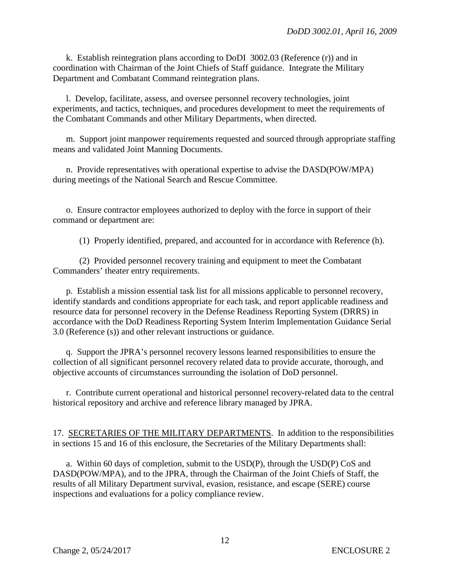k. Establish reintegration plans according to DoDI 3002.03 (Reference (r)) and in coordination with Chairman of the Joint Chiefs of Staff guidance. Integrate the Military Department and Combatant Command reintegration plans.

 l. Develop, facilitate, assess, and oversee personnel recovery technologies, joint experiments, and tactics, techniques, and procedures development to meet the requirements of the Combatant Commands and other Military Departments, when directed.

 m. Support joint manpower requirements requested and sourced through appropriate staffing means and validated Joint Manning Documents.

 n. Provide representatives with operational expertise to advise the DASD(POW/MPA) during meetings of the National Search and Rescue Committee.

 o. Ensure contractor employees authorized to deploy with the force in support of their command or department are:

(1) Properly identified, prepared, and accounted for in accordance with Reference (h).

(2) Provided personnel recovery training and equipment to meet the Combatant Commanders' theater entry requirements.

 p. Establish a mission essential task list for all missions applicable to personnel recovery, identify standards and conditions appropriate for each task, and report applicable readiness and resource data for personnel recovery in the Defense Readiness Reporting System (DRRS) in accordance with the DoD Readiness Reporting System Interim Implementation Guidance Serial 3.0 (Reference (s)) and other relevant instructions or guidance.

q. Support the JPRA's personnel recovery lessons learned responsibilities to ensure the collection of all significant personnel recovery related data to provide accurate, thorough, and objective accounts of circumstances surrounding the isolation of DoD personnel.

r. Contribute current operational and historical personnel recovery-related data to the central historical repository and archive and reference library managed by JPRA.

17. SECRETARIES OF THE MILITARY DEPARTMENTS. In addition to the responsibilities in sections 15 and 16 of this enclosure, the Secretaries of the Military Departments shall:

a. Within 60 days of completion, submit to the USD(P), through the USD(P) CoS and DASD(POW/MPA), and to the JPRA, through the Chairman of the Joint Chiefs of Staff, the results of all Military Department survival, evasion, resistance, and escape (SERE) course inspections and evaluations for a policy compliance review.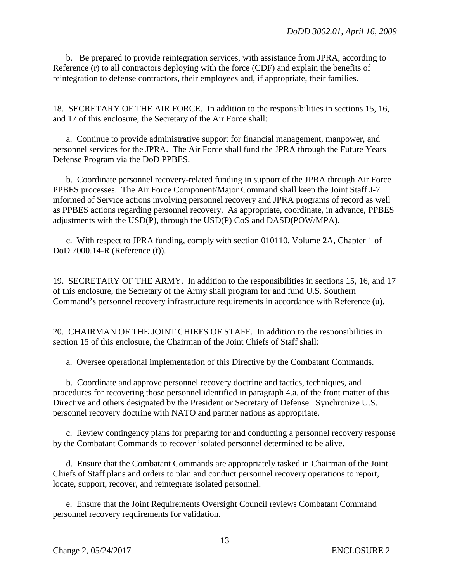b. Be prepared to provide reintegration services, with assistance from JPRA, according to Reference (r) to all contractors deploying with the force (CDF) and explain the benefits of reintegration to defense contractors, their employees and, if appropriate, their families.

18. SECRETARY OF THE AIR FORCE. In addition to the responsibilities in sections 15, 16, and 17 of this enclosure, the Secretary of the Air Force shall:

 a. Continue to provide administrative support for financial management, manpower, and personnel services for the JPRA. The Air Force shall fund the JPRA through the Future Years Defense Program via the DoD PPBES.

 b. Coordinate personnel recovery-related funding in support of the JPRA through Air Force PPBES processes. The Air Force Component/Major Command shall keep the Joint Staff J-7 informed of Service actions involving personnel recovery and JPRA programs of record as well as PPBES actions regarding personnel recovery. As appropriate, coordinate, in advance, PPBES adjustments with the USD(P), through the USD(P) CoS and DASD(POW/MPA).

 c. With respect to JPRA funding, comply with section 010110, Volume 2A, Chapter 1 of DoD 7000.14-R (Reference (t)).

19. SECRETARY OF THE ARMY. In addition to the responsibilities in sections 15, 16, and 17 of this enclosure, the Secretary of the Army shall program for and fund U.S. Southern Command's personnel recovery infrastructure requirements in accordance with Reference (u).

20. CHAIRMAN OF THE JOINT CHIEFS OF STAFF. In addition to the responsibilities in section 15 of this enclosure, the Chairman of the Joint Chiefs of Staff shall:

a. Oversee operational implementation of this Directive by the Combatant Commands.

 b. Coordinate and approve personnel recovery doctrine and tactics, techniques, and procedures for recovering those personnel identified in paragraph 4.a. of the front matter of this Directive and others designated by the President or Secretary of Defense. Synchronize U.S. personnel recovery doctrine with NATO and partner nations as appropriate.

 c. Review contingency plans for preparing for and conducting a personnel recovery response by the Combatant Commands to recover isolated personnel determined to be alive.

 d. Ensure that the Combatant Commands are appropriately tasked in Chairman of the Joint Chiefs of Staff plans and orders to plan and conduct personnel recovery operations to report, locate, support, recover, and reintegrate isolated personnel.

 e. Ensure that the Joint Requirements Oversight Council reviews Combatant Command personnel recovery requirements for validation.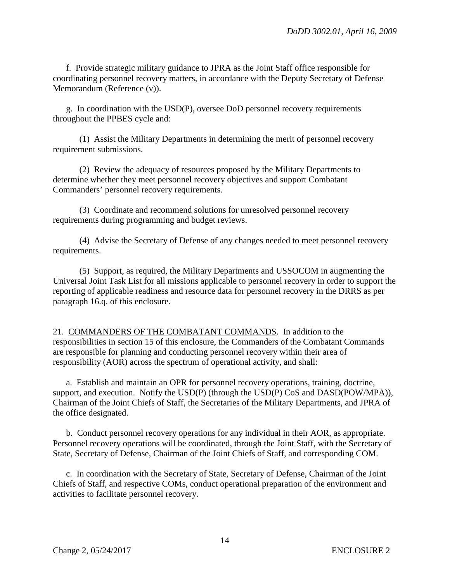f. Provide strategic military guidance to JPRA as the Joint Staff office responsible for coordinating personnel recovery matters, in accordance with the Deputy Secretary of Defense Memorandum (Reference (v)).

 g. In coordination with the USD(P), oversee DoD personnel recovery requirements throughout the PPBES cycle and:

(1) Assist the Military Departments in determining the merit of personnel recovery requirement submissions.

(2) Review the adequacy of resources proposed by the Military Departments to determine whether they meet personnel recovery objectives and support Combatant Commanders' personnel recovery requirements.

(3) Coordinate and recommend solutions for unresolved personnel recovery requirements during programming and budget reviews.

(4) Advise the Secretary of Defense of any changes needed to meet personnel recovery requirements.

(5) Support, as required, the Military Departments and USSOCOM in augmenting the Universal Joint Task List for all missions applicable to personnel recovery in order to support the reporting of applicable readiness and resource data for personnel recovery in the DRRS as per paragraph 16.q. of this enclosure.

21. COMMANDERS OF THE COMBATANT COMMANDS. In addition to the responsibilities in section 15 of this enclosure, the Commanders of the Combatant Commands are responsible for planning and conducting personnel recovery within their area of responsibility (AOR) across the spectrum of operational activity, and shall:

 a. Establish and maintain an OPR for personnel recovery operations, training, doctrine, support, and execution. Notify the USD(P) (through the USD(P) CoS and DASD(POW/MPA)), Chairman of the Joint Chiefs of Staff, the Secretaries of the Military Departments, and JPRA of the office designated.

 b. Conduct personnel recovery operations for any individual in their AOR, as appropriate. Personnel recovery operations will be coordinated, through the Joint Staff, with the Secretary of State, Secretary of Defense, Chairman of the Joint Chiefs of Staff, and corresponding COM.

 c. In coordination with the Secretary of State, Secretary of Defense, Chairman of the Joint Chiefs of Staff, and respective COMs, conduct operational preparation of the environment and activities to facilitate personnel recovery.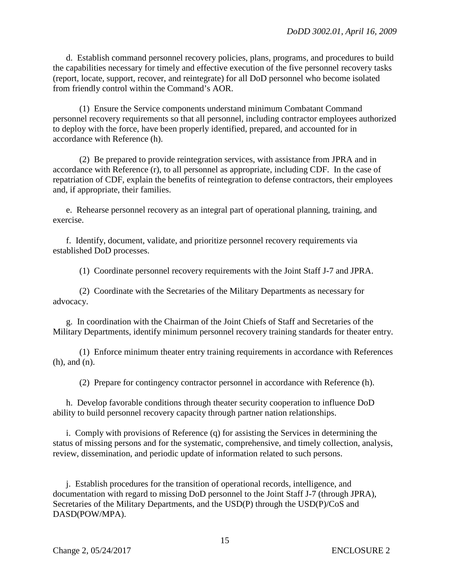d. Establish command personnel recovery policies, plans, programs, and procedures to build the capabilities necessary for timely and effective execution of the five personnel recovery tasks (report, locate, support, recover, and reintegrate) for all DoD personnel who become isolated from friendly control within the Command's AOR.

(1) Ensure the Service components understand minimum Combatant Command personnel recovery requirements so that all personnel, including contractor employees authorized to deploy with the force, have been properly identified, prepared, and accounted for in accordance with Reference (h).

(2) Be prepared to provide reintegration services, with assistance from JPRA and in accordance with Reference (r), to all personnel as appropriate, including CDF. In the case of repatriation of CDF, explain the benefits of reintegration to defense contractors, their employees and, if appropriate, their families.

e. Rehearse personnel recovery as an integral part of operational planning, training, and exercise.

f. Identify, document, validate, and prioritize personnel recovery requirements via established DoD processes.

(1) Coordinate personnel recovery requirements with the Joint Staff J-7 and JPRA.

(2) Coordinate with the Secretaries of the Military Departments as necessary for advocacy.

g. In coordination with the Chairman of the Joint Chiefs of Staff and Secretaries of the Military Departments, identify minimum personnel recovery training standards for theater entry.

(1) Enforce minimum theater entry training requirements in accordance with References (h), and (n).

(2) Prepare for contingency contractor personnel in accordance with Reference (h).

h. Develop favorable conditions through theater security cooperation to influence DoD ability to build personnel recovery capacity through partner nation relationships.

i. Comply with provisions of Reference (q) for assisting the Services in determining the status of missing persons and for the systematic, comprehensive, and timely collection, analysis, review, dissemination, and periodic update of information related to such persons.

j. Establish procedures for the transition of operational records, intelligence, and documentation with regard to missing DoD personnel to the Joint Staff J-7 (through JPRA), Secretaries of the Military Departments, and the USD(P) through the USD(P)/CoS and DASD(POW/MPA).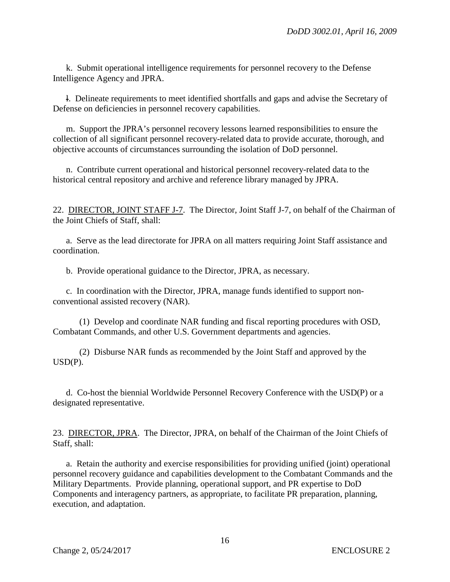k. Submit operational intelligence requirements for personnel recovery to the Defense Intelligence Agency and JPRA.

l. Delineate requirements to meet identified shortfalls and gaps and advise the Secretary of Defense on deficiencies in personnel recovery capabilities.

m. Support the JPRA's personnel recovery lessons learned responsibilities to ensure the collection of all significant personnel recovery-related data to provide accurate, thorough, and objective accounts of circumstances surrounding the isolation of DoD personnel.

n. Contribute current operational and historical personnel recovery-related data to the historical central repository and archive and reference library managed by JPRA.

22. DIRECTOR, JOINT STAFF J-7. The Director, Joint Staff J-7, on behalf of the Chairman of the Joint Chiefs of Staff, shall:

a. Serve as the lead directorate for JPRA on all matters requiring Joint Staff assistance and coordination.

b. Provide operational guidance to the Director, JPRA, as necessary.

 c. In coordination with the Director, JPRA, manage funds identified to support nonconventional assisted recovery (NAR).

 (1) Develop and coordinate NAR funding and fiscal reporting procedures with OSD, Combatant Commands, and other U.S. Government departments and agencies.

 (2) Disburse NAR funds as recommended by the Joint Staff and approved by the USD(P).

 d. Co-host the biennial Worldwide Personnel Recovery Conference with the USD(P) or a designated representative.

23. DIRECTOR, JPRA. The Director, JPRA, on behalf of the Chairman of the Joint Chiefs of Staff, shall:

a. Retain the authority and exercise responsibilities for providing unified (joint) operational personnel recovery guidance and capabilities development to the Combatant Commands and the Military Departments. Provide planning, operational support, and PR expertise to DoD Components and interagency partners, as appropriate, to facilitate PR preparation, planning, execution, and adaptation.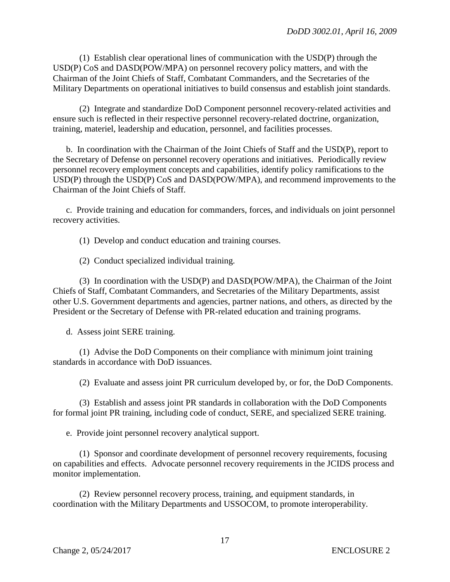(1) Establish clear operational lines of communication with the USD(P) through the USD(P) CoS and DASD(POW/MPA) on personnel recovery policy matters, and with the Chairman of the Joint Chiefs of Staff, Combatant Commanders, and the Secretaries of the Military Departments on operational initiatives to build consensus and establish joint standards.

(2) Integrate and standardize DoD Component personnel recovery-related activities and ensure such is reflected in their respective personnel recovery-related doctrine, organization, training, materiel, leadership and education, personnel, and facilities processes.

b. In coordination with the Chairman of the Joint Chiefs of Staff and the USD(P), report to the Secretary of Defense on personnel recovery operations and initiatives. Periodically review personnel recovery employment concepts and capabilities, identify policy ramifications to the USD(P) through the USD(P) CoS and DASD(POW/MPA), and recommend improvements to the Chairman of the Joint Chiefs of Staff.

c. Provide training and education for commanders, forces, and individuals on joint personnel recovery activities.

(1) Develop and conduct education and training courses.

(2) Conduct specialized individual training.

(3) In coordination with the USD(P) and DASD(POW/MPA), the Chairman of the Joint Chiefs of Staff, Combatant Commanders, and Secretaries of the Military Departments, assist other U.S. Government departments and agencies, partner nations, and others, as directed by the President or the Secretary of Defense with PR-related education and training programs.

d. Assess joint SERE training.

(1) Advise the DoD Components on their compliance with minimum joint training standards in accordance with DoD issuances.

(2) Evaluate and assess joint PR curriculum developed by, or for, the DoD Components.

(3) Establish and assess joint PR standards in collaboration with the DoD Components for formal joint PR training, including code of conduct, SERE, and specialized SERE training.

e. Provide joint personnel recovery analytical support.

 (1) Sponsor and coordinate development of personnel recovery requirements, focusing on capabilities and effects. Advocate personnel recovery requirements in the JCIDS process and monitor implementation.

(2) Review personnel recovery process, training, and equipment standards, in coordination with the Military Departments and USSOCOM, to promote interoperability.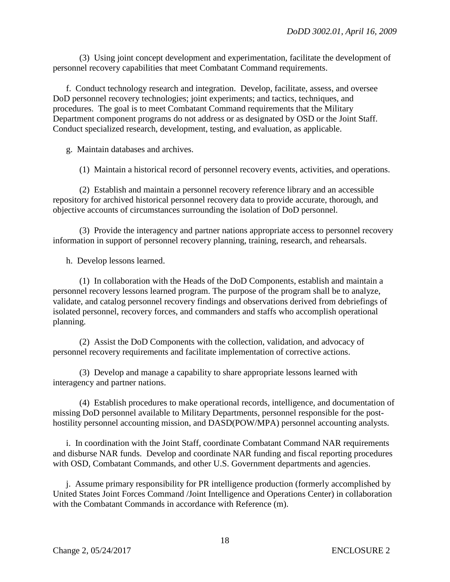(3) Using joint concept development and experimentation, facilitate the development of personnel recovery capabilities that meet Combatant Command requirements.

f. Conduct technology research and integration. Develop, facilitate, assess, and oversee DoD personnel recovery technologies; joint experiments; and tactics, techniques, and procedures. The goal is to meet Combatant Command requirements that the Military Department component programs do not address or as designated by OSD or the Joint Staff. Conduct specialized research, development, testing, and evaluation, as applicable.

g. Maintain databases and archives.

(1) Maintain a historical record of personnel recovery events, activities, and operations.

 (2) Establish and maintain a personnel recovery reference library and an accessible repository for archived historical personnel recovery data to provide accurate, thorough, and objective accounts of circumstances surrounding the isolation of DoD personnel.

 (3) Provide the interagency and partner nations appropriate access to personnel recovery information in support of personnel recovery planning, training, research, and rehearsals.

h. Develop lessons learned.

(1) In collaboration with the Heads of the DoD Components, establish and maintain a personnel recovery lessons learned program. The purpose of the program shall be to analyze, validate, and catalog personnel recovery findings and observations derived from debriefings of isolated personnel, recovery forces, and commanders and staffs who accomplish operational planning.

 (2) Assist the DoD Components with the collection, validation, and advocacy of personnel recovery requirements and facilitate implementation of corrective actions.

 (3) Develop and manage a capability to share appropriate lessons learned with interagency and partner nations.

(4) Establish procedures to make operational records, intelligence, and documentation of missing DoD personnel available to Military Departments, personnel responsible for the posthostility personnel accounting mission, and DASD(POW/MPA) personnel accounting analysts.

i. In coordination with the Joint Staff, coordinate Combatant Command NAR requirements and disburse NAR funds. Develop and coordinate NAR funding and fiscal reporting procedures with OSD, Combatant Commands, and other U.S. Government departments and agencies.

j. Assume primary responsibility for PR intelligence production (formerly accomplished by United States Joint Forces Command /Joint Intelligence and Operations Center) in collaboration with the Combatant Commands in accordance with Reference (m).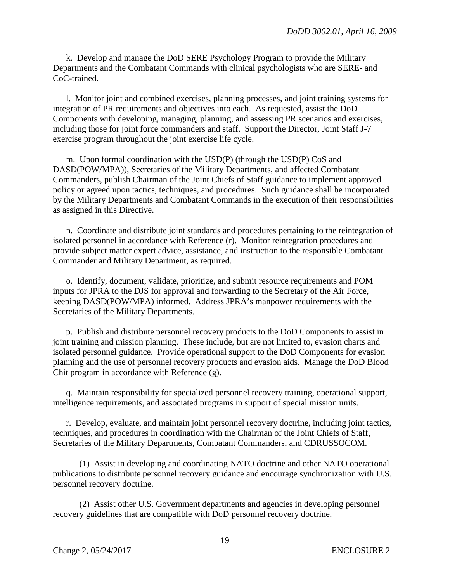k. Develop and manage the DoD SERE Psychology Program to provide the Military Departments and the Combatant Commands with clinical psychologists who are SERE- and CoC-trained.

l. Monitor joint and combined exercises, planning processes, and joint training systems for integration of PR requirements and objectives into each. As requested, assist the DoD Components with developing, managing, planning, and assessing PR scenarios and exercises, including those for joint force commanders and staff. Support the Director, Joint Staff J-7 exercise program throughout the joint exercise life cycle.

 m. Upon formal coordination with the USD(P) (through the USD(P) CoS and DASD(POW/MPA)), Secretaries of the Military Departments, and affected Combatant Commanders, publish Chairman of the Joint Chiefs of Staff guidance to implement approved policy or agreed upon tactics, techniques, and procedures. Such guidance shall be incorporated by the Military Departments and Combatant Commands in the execution of their responsibilities as assigned in this Directive.

n. Coordinate and distribute joint standards and procedures pertaining to the reintegration of isolated personnel in accordance with Reference (r). Monitor reintegration procedures and provide subject matter expert advice, assistance, and instruction to the responsible Combatant Commander and Military Department, as required.

o. Identify, document, validate, prioritize, and submit resource requirements and POM inputs for JPRA to the DJS for approval and forwarding to the Secretary of the Air Force, keeping DASD(POW/MPA) informed. Address JPRA's manpower requirements with the Secretaries of the Military Departments.

p. Publish and distribute personnel recovery products to the DoD Components to assist in joint training and mission planning. These include, but are not limited to, evasion charts and isolated personnel guidance. Provide operational support to the DoD Components for evasion planning and the use of personnel recovery products and evasion aids. Manage the DoD Blood Chit program in accordance with Reference (g).

q. Maintain responsibility for specialized personnel recovery training, operational support, intelligence requirements, and associated programs in support of special mission units.

 r. Develop, evaluate, and maintain joint personnel recovery doctrine, including joint tactics, techniques, and procedures in coordination with the Chairman of the Joint Chiefs of Staff, Secretaries of the Military Departments, Combatant Commanders, and CDRUSSOCOM.

(1) Assist in developing and coordinating NATO doctrine and other NATO operational publications to distribute personnel recovery guidance and encourage synchronization with U.S. personnel recovery doctrine.

(2) Assist other U.S. Government departments and agencies in developing personnel recovery guidelines that are compatible with DoD personnel recovery doctrine.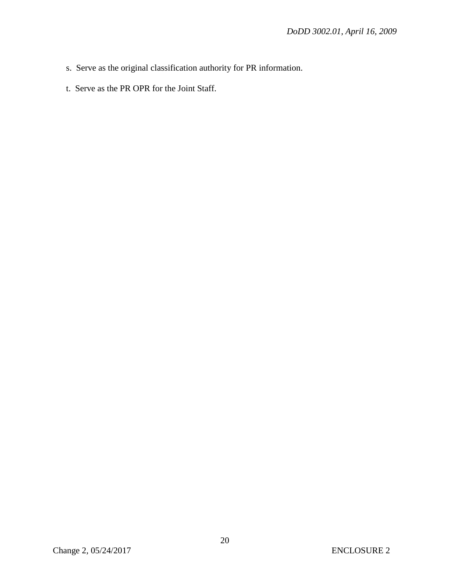- s. Serve as the original classification authority for PR information.
- t. Serve as the PR OPR for the Joint Staff.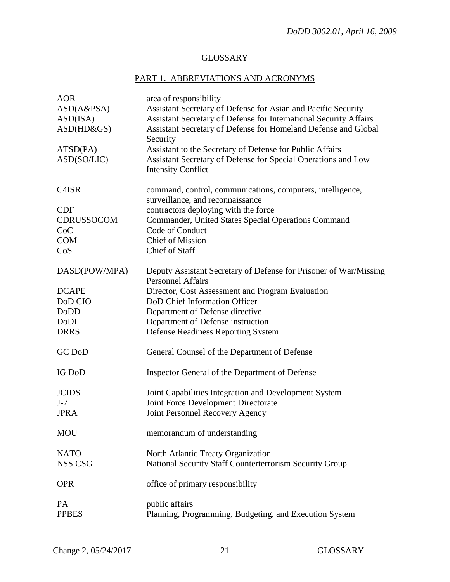# **GLOSSARY**

# PART 1. ABBREVIATIONS AND ACRONYMS

| <b>AOR</b>         | area of responsibility                                            |
|--------------------|-------------------------------------------------------------------|
| ASD(A&PSA)         | Assistant Secretary of Defense for Asian and Pacific Security     |
| ASD(ISA)           | Assistant Secretary of Defense for International Security Affairs |
| ASD(HD&GS)         | Assistant Secretary of Defense for Homeland Defense and Global    |
|                    | Security                                                          |
| ATSD(PA)           | Assistant to the Secretary of Defense for Public Affairs          |
| ASD(SO/LIC)        | Assistant Secretary of Defense for Special Operations and Low     |
|                    | <b>Intensity Conflict</b>                                         |
|                    |                                                                   |
| C <sub>4</sub> ISR | command, control, communications, computers, intelligence,        |
|                    | surveillance, and reconnaissance                                  |
| <b>CDF</b>         |                                                                   |
|                    | contractors deploying with the force                              |
| <b>CDRUSSOCOM</b>  | Commander, United States Special Operations Command               |
| CoC                | Code of Conduct                                                   |
| <b>COM</b>         | <b>Chief of Mission</b>                                           |
| CoS                | Chief of Staff                                                    |
|                    |                                                                   |
| DASD(POW/MPA)      | Deputy Assistant Secretary of Defense for Prisoner of War/Missing |
|                    | <b>Personnel Affairs</b>                                          |
| <b>DCAPE</b>       | Director, Cost Assessment and Program Evaluation                  |
| DoD CIO            | DoD Chief Information Officer                                     |
| DoDD               | Department of Defense directive                                   |
| DoDI               | Department of Defense instruction                                 |
| <b>DRRS</b>        | Defense Readiness Reporting System                                |
|                    |                                                                   |
| GC DoD             | General Counsel of the Department of Defense                      |
|                    |                                                                   |
| IG DoD             | Inspector General of the Department of Defense                    |
|                    |                                                                   |
| <b>JCIDS</b>       | Joint Capabilities Integration and Development System             |
| $J-7$              | Joint Force Development Directorate                               |
| <b>JPRA</b>        | Joint Personnel Recovery Agency                                   |
|                    |                                                                   |
| <b>MOU</b>         | memorandum of understanding                                       |
|                    |                                                                   |
| <b>NATO</b>        | North Atlantic Treaty Organization                                |
| <b>NSS CSG</b>     | National Security Staff Counterterrorism Security Group           |
|                    |                                                                   |
| <b>OPR</b>         | office of primary responsibility                                  |
|                    |                                                                   |
| PA                 | public affairs                                                    |
| <b>PPBES</b>       | Planning, Programming, Budgeting, and Execution System            |
|                    |                                                                   |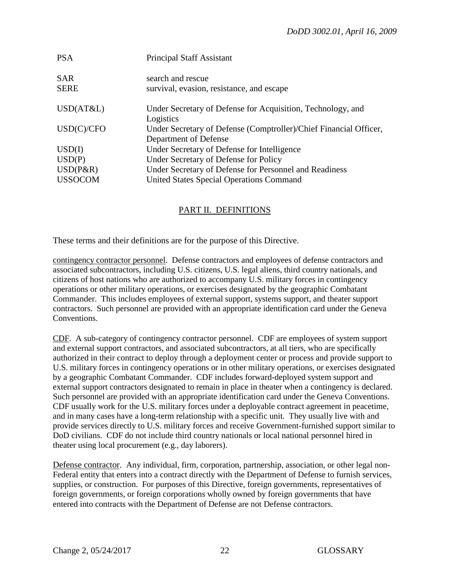| <b>PSA</b>                | <b>Principal Staff Assistant</b>                                                           |
|---------------------------|--------------------------------------------------------------------------------------------|
| <b>SAR</b><br><b>SERE</b> | search and rescue<br>survival, evasion, resistance, and escape                             |
| USD(AT&L)                 | Under Secretary of Defense for Acquisition, Technology, and<br>Logistics                   |
| USD(C)/CFO                | Under Secretary of Defense (Comptroller)/Chief Financial Officer,<br>Department of Defense |
| USD(I)                    | Under Secretary of Defense for Intelligence                                                |
| USD(P)                    | Under Secretary of Defense for Policy                                                      |
| $USD(P\&R)$               | Under Secretary of Defense for Personnel and Readiness                                     |
| <b>USSOCOM</b>            | <b>United States Special Operations Command</b>                                            |

# PART II. DEFINITIONS

These terms and their definitions are for the purpose of this Directive.

contingency contractor personnel. Defense contractors and employees of defense contractors and associated subcontractors, including U.S. citizens, U.S. legal aliens, third country nationals, and citizens of host nations who are authorized to accompany U.S. military forces in contingency operations or other military operations, or exercises designated by the geographic Combatant Commander. This includes employees of external support, systems support, and theater support contractors. Such personnel are provided with an appropriate identification card under the Geneva Conventions.

CDF. A sub-category of contingency contractor personnel. CDF are employees of system support and external support contractors, and associated subcontractors, at all tiers, who are specifically authorized in their contract to deploy through a deployment center or process and provide support to U.S. military forces in contingency operations or in other military operations, or exercises designated by a geographic Combatant Commander. CDF includes forward-deployed system support and external support contractors designated to remain in place in theater when a contingency is declared. Such personnel are provided with an appropriate identification card under the Geneva Conventions. CDF usually work for the U.S. military forces under a deployable contract agreement in peacetime, and in many cases have a long-term relationship with a specific unit. They usually live with and provide services directly to U.S. military forces and receive Government-furnished support similar to DoD civilians. CDF do not include third country nationals or local national personnel hired in theater using local procurement (e.g., day laborers).

Defense contractor. Any individual, firm, corporation, partnership, association, or other legal non-Federal entity that enters into a contract directly with the Department of Defense to furnish services, supplies, or construction. For purposes of this Directive, foreign governments, representatives of foreign governments, or foreign corporations wholly owned by foreign governments that have entered into contracts with the Department of Defense are not Defense contractors.